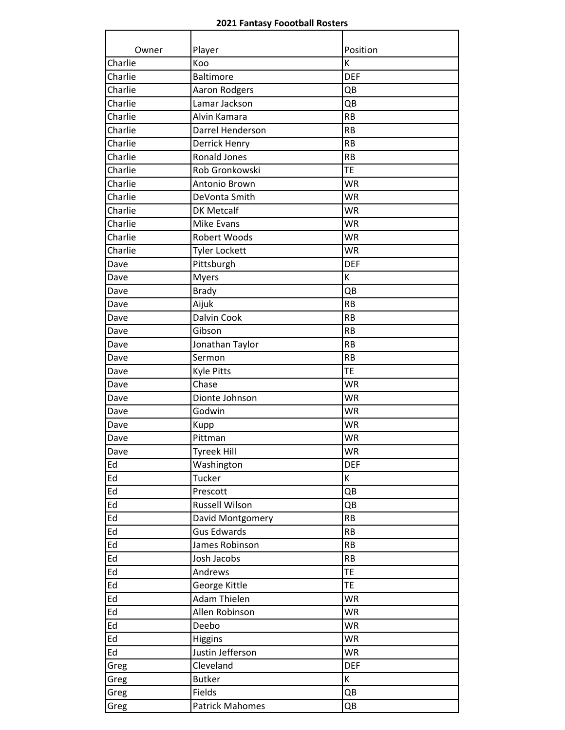## **2021 Fantasy Foootball Rosters**

| Owner   | Player                 | Position   |
|---------|------------------------|------------|
| Charlie | Koo                    | K          |
| Charlie | <b>Baltimore</b>       | <b>DEF</b> |
| Charlie | Aaron Rodgers          | QB         |
| Charlie | Lamar Jackson          | QB         |
| Charlie | Alvin Kamara           | <b>RB</b>  |
| Charlie | Darrel Henderson       | <b>RB</b>  |
| Charlie | Derrick Henry          | <b>RB</b>  |
| Charlie | <b>Ronald Jones</b>    | <b>RB</b>  |
| Charlie | Rob Gronkowski         | TE         |
| Charlie | Antonio Brown          | <b>WR</b>  |
| Charlie | DeVonta Smith          | <b>WR</b>  |
| Charlie | <b>DK Metcalf</b>      | <b>WR</b>  |
| Charlie | <b>Mike Evans</b>      | <b>WR</b>  |
| Charlie | <b>Robert Woods</b>    | <b>WR</b>  |
| Charlie | <b>Tyler Lockett</b>   | <b>WR</b>  |
| Dave    | Pittsburgh             | <b>DEF</b> |
| Dave    | <b>Myers</b>           | K          |
| Dave    | <b>Brady</b>           | QB         |
| Dave    | Aijuk                  | <b>RB</b>  |
| Dave    | <b>Dalvin Cook</b>     | <b>RB</b>  |
| Dave    | Gibson                 | <b>RB</b>  |
| Dave    | Jonathan Taylor        | <b>RB</b>  |
| Dave    | Sermon                 | <b>RB</b>  |
| Dave    | <b>Kyle Pitts</b>      | TE         |
| Dave    | Chase                  | <b>WR</b>  |
| Dave    | Dionte Johnson         | <b>WR</b>  |
| Dave    | Godwin                 | <b>WR</b>  |
| Dave    | Kupp                   | <b>WR</b>  |
| Dave    | Pittman                | <b>WR</b>  |
| Dave    | Tyreek Hill            | <b>WR</b>  |
| Ed      | Washington             | <b>DEF</b> |
| Ed      | Tucker                 | K          |
| Ed      | Prescott               | QB         |
| Ed      | <b>Russell Wilson</b>  | QB         |
| Ed      | David Montgomery       | <b>RB</b>  |
| Ed      | <b>Gus Edwards</b>     | <b>RB</b>  |
| Ed      | James Robinson         | RB         |
| Ed      | Josh Jacobs            | RB         |
| Ed      | Andrews                | TE         |
| Ed      | George Kittle          | <b>TE</b>  |
| Ed      | Adam Thielen           | <b>WR</b>  |
| Ed      | Allen Robinson         | <b>WR</b>  |
| Ed      | Deebo                  | <b>WR</b>  |
| Ed      | Higgins                | <b>WR</b>  |
| Ed      | Justin Jefferson       | <b>WR</b>  |
| Greg    | Cleveland              | <b>DEF</b> |
| Greg    | <b>Butker</b>          | K          |
| Greg    | Fields                 | QB         |
| Greg    | <b>Patrick Mahomes</b> | QB         |